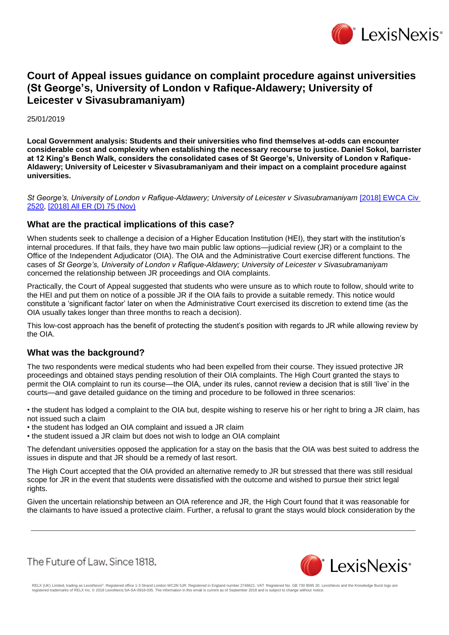

## **Court of Appeal issues guidance on complaint procedure against universities (St George's, University of London v Rafique-Aldawery; University of Leicester v Sivasubramaniyam)**

25/01/2019

**Local Government analysis: Students and their universities who find themselves at-odds can encounter considerable cost and complexity when establishing the necessary recourse to justice. Daniel Sokol, barrister at 12 King's Bench Walk, considers the consolidated cases of St George's, University of London v Rafique-Aldawery; University of Leicester v Sivasubramaniyam and their impact on a complaint procedure against universities.**

*St George's, University of London v Rafique-Aldawery; University of Leicester v Sivasubramaniyam* [\[2018\] EWCA Civ](https://www.lexisnexis.com/uk/lexispsl/localgovernment/citationlinkHandler.faces?bct=A&service=citation&risb=&EWCACIV&$sel1!%252018%25$year!%252018%25$page!%252520%25)  [2520,](https://www.lexisnexis.com/uk/lexispsl/localgovernment/citationlinkHandler.faces?bct=A&service=citation&risb=&EWCACIV&$sel1!%252018%25$year!%252018%25$page!%252520%25) [\[2018\] All ER \(D\) 75 \(Nov\)](https://www.lexisnexis.com/uk/lexispsl/localgovernment/citationlinkHandler.faces?bct=A&service=citation&risb=&ALLERD&$sel1!%252018%25$year!%252018%25$sel2!%2511%25$vol!%2511%25$page!%2575%25)

## **What are the practical implications of this case?**

When students seek to challenge a decision of a Higher Education Institution (HEI), they start with the institution's internal procedures. If that fails, they have two main public law options—judicial review (JR) or a complaint to the Office of the Independent Adjudicator (OIA). The OIA and the Administrative Court exercise different functions. The cases of *St George's, University of London v Rafique-Aldawery; University of Leicester v Sivasubramaniyam*  concerned the relationship between JR proceedings and OIA complaints.

Practically, the Court of Appeal suggested that students who were unsure as to which route to follow, should write to the HEI and put them on notice of a possible JR if the OIA fails to provide a suitable remedy. This notice would constitute a 'significant factor' later on when the Administrative Court exercised its discretion to extend time (as the OIA usually takes longer than three months to reach a decision).

This low-cost approach has the benefit of protecting the student's position with regards to JR while allowing review by the OIA.

## **What was the background?**

The two respondents were medical students who had been expelled from their course. They issued protective JR proceedings and obtained stays pending resolution of their OIA complaints. The High Court granted the stays to permit the OIA complaint to run its course—the OIA, under its rules, cannot review a decision that is still 'live' in the courts—and gave detailed guidance on the timing and procedure to be followed in three scenarios:

• the student has lodged a complaint to the OIA but, despite wishing to reserve his or her right to bring a JR claim, has not issued such a claim

• the student has lodged an OIA complaint and issued a JR claim

• the student issued a JR claim but does not wish to lodge an OIA complaint

The defendant universities opposed the application for a stay on the basis that the OIA was best suited to address the issues in dispute and that JR should be a remedy of last resort.

The High Court accepted that the OIA provided an alternative remedy to JR but stressed that there was still residual scope for JR in the event that students were dissatisfied with the outcome and wished to pursue their strict legal rights.

Given the uncertain relationship between an OIA reference and JR, the High Court found that it was reasonable for the claimants to have issued a protective claim. Further, a refusal to grant the stays would block consideration by the

The Future of Law, Since 1818.



RELX (UK) Limited, trading as LexisNexis®. Registered office 1-3 Strand London WC2N 5JR. Registered in England number 2746621. VAT Registered No. GB 730 8595 20. LexisNexis and the Knowledge Burst logo are<br>registered trade